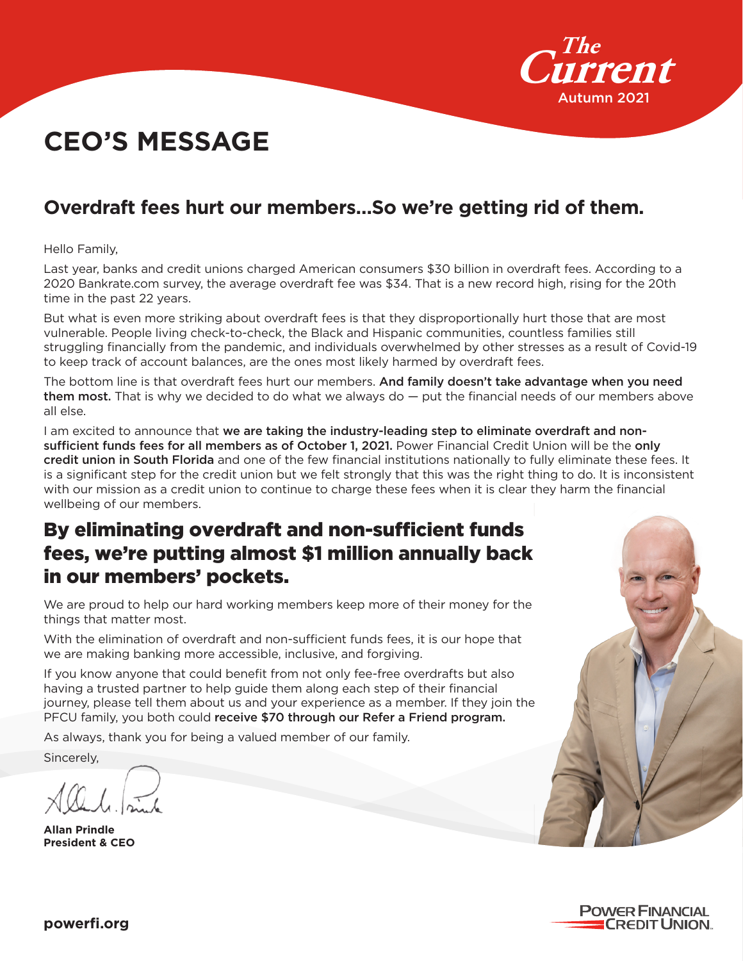

# **CEO'S MESSAGE**

# **Overdraft fees hurt our members…So we're getting rid of them.**

Hello Family,

Last year, banks and credit unions charged American consumers \$30 billion in overdraft fees. According to a 2020 Bankrate.com survey, the average overdraft fee was \$34. That is a new record high, rising for the 20th time in the past 22 years.

But what is even more striking about overdraft fees is that they disproportionally hurt those that are most vulnerable. People living check-to-check, the Black and Hispanic communities, countless families still struggling financially from the pandemic, and individuals overwhelmed by other stresses as a result of Covid-19 to keep track of account balances, are the ones most likely harmed by overdraft fees.

The bottom line is that overdraft fees hurt our members. And family doesn't take advantage when you need them most. That is why we decided to do what we always do  $-$  put the financial needs of our members above all else.

I am excited to announce that we are taking the industry-leading step to eliminate overdraft and nonsufficient funds fees for all members as of October 1, 2021. Power Financial Credit Union will be the only credit union in South Florida and one of the few financial institutions nationally to fully eliminate these fees. It is a significant step for the credit union but we felt strongly that this was the right thing to do. It is inconsistent with our mission as a credit union to continue to charge these fees when it is clear they harm the financial wellbeing of our members.

# By eliminating overdraft and non-sufficient funds fees, we're putting almost \$1 million annually back in our members' pockets.

We are proud to help our hard working members keep more of their money for the things that matter most.

With the elimination of overdraft and non-sufficient funds fees, it is our hope that we are making banking more accessible, inclusive, and forgiving.

If you know anyone that could benefit from not only fee-free overdrafts but also having a trusted partner to help guide them along each step of their financial journey, please tell them about us and your experience as a member. If they join the PFCU family, you both could receive \$70 through our Refer a Friend program.

As always, thank you for being a valued member of our family.

Sincerely,

**Allan Prindle President & CEO**